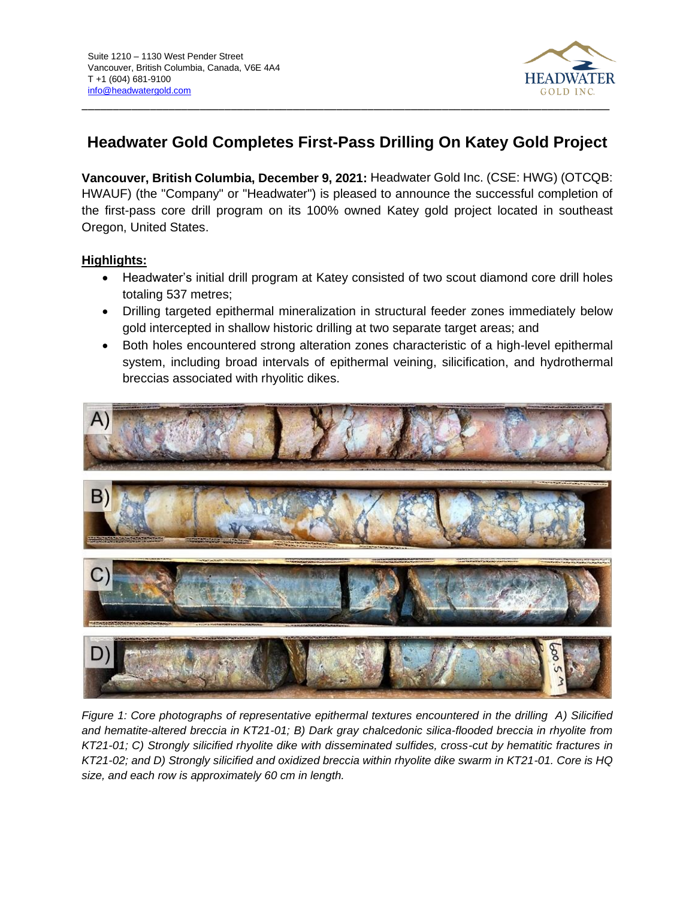

# **Headwater Gold Completes First-Pass Drilling On Katey Gold Project**

**Vancouver, British Columbia, December 9, 2021:** Headwater Gold Inc. (CSE: HWG) (OTCQB: HWAUF) (the "Company" or "Headwater") is pleased to announce the successful completion of the first-pass core drill program on its 100% owned Katey gold project located in southeast Oregon, United States.

## **Highlights:**

- Headwater's initial drill program at Katey consisted of two scout diamond core drill holes totaling 537 metres;
- Drilling targeted epithermal mineralization in structural feeder zones immediately below gold intercepted in shallow historic drilling at two separate target areas; and
- Both holes encountered strong alteration zones characteristic of a high-level epithermal system, including broad intervals of epithermal veining, silicification, and hydrothermal breccias associated with rhyolitic dikes.



*Figure 1: Core photographs of representative epithermal textures encountered in the drilling A) Silicified and hematite-altered breccia in KT21-01; B) Dark gray chalcedonic silica-flooded breccia in rhyolite from KT21-01; C) Strongly silicified rhyolite dike with disseminated sulfides, cross-cut by hematitic fractures in KT21-02; and D) Strongly silicified and oxidized breccia within rhyolite dike swarm in KT21-01. Core is HQ size, and each row is approximately 60 cm in length.*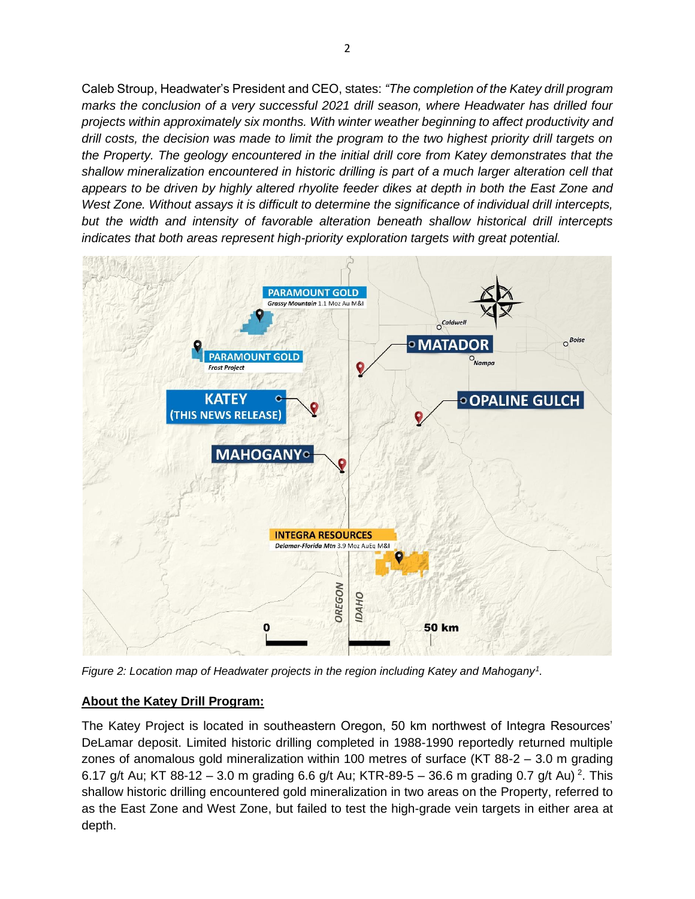Caleb Stroup, Headwater's President and CEO, states: *"The completion of the Katey drill program marks the conclusion of a very successful 2021 drill season, where Headwater has drilled four projects within approximately six months. With winter weather beginning to affect productivity and drill costs, the decision was made to limit the program to the two highest priority drill targets on the Property. The geology encountered in the initial drill core from Katey demonstrates that the shallow mineralization encountered in historic drilling is part of a much larger alteration cell that appears to be driven by highly altered rhyolite feeder dikes at depth in both the East Zone and West Zone. Without assays it is difficult to determine the significance of individual drill intercepts, but the width and intensity of favorable alteration beneath shallow historical drill intercepts indicates that both areas represent high-priority exploration targets with great potential.*



*Figure 2: Location map of Headwater projects in the region including Katey and Mahogany<sup>1</sup> .* 

## **About the Katey Drill Program:**

The Katey Project is located in southeastern Oregon, 50 km northwest of Integra Resources' DeLamar deposit. Limited historic drilling completed in 1988-1990 reportedly returned multiple zones of anomalous gold mineralization within 100 metres of surface (KT 88-2 – 3.0 m grading 6.17 g/t Au; KT 88-12 – 3.0 m grading 6.6 g/t Au; KTR-89-5 – 36.6 m grading 0.7 g/t Au)<sup>2</sup>. This shallow historic drilling encountered gold mineralization in two areas on the Property, referred to as the East Zone and West Zone, but failed to test the high-grade vein targets in either area at depth.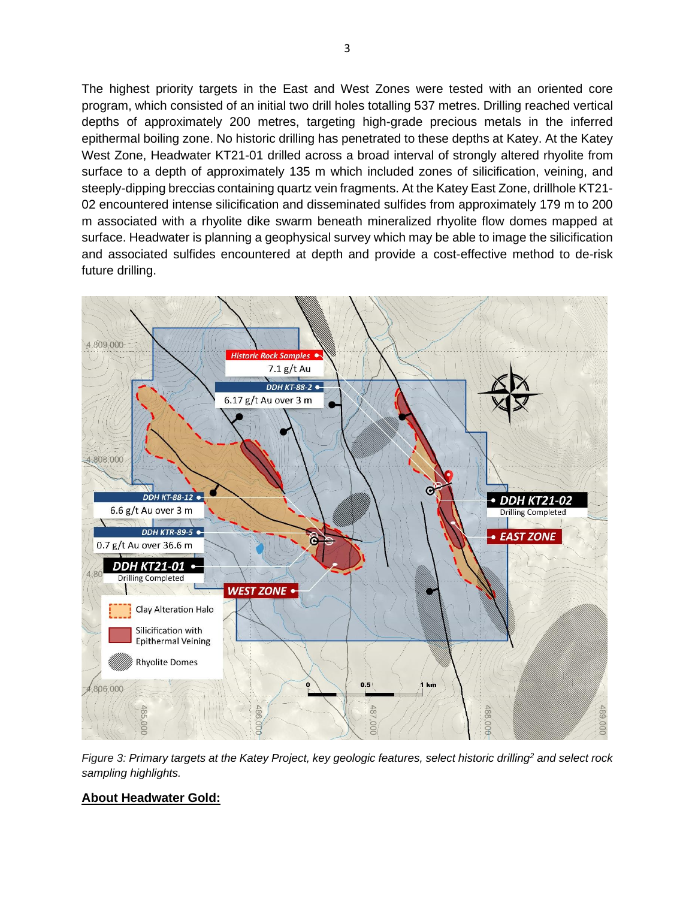The highest priority targets in the East and West Zones were tested with an oriented core program, which consisted of an initial two drill holes totalling 537 metres. Drilling reached vertical depths of approximately 200 metres, targeting high-grade precious metals in the inferred epithermal boiling zone. No historic drilling has penetrated to these depths at Katey. At the Katey West Zone, Headwater KT21-01 drilled across a broad interval of strongly altered rhyolite from surface to a depth of approximately 135 m which included zones of silicification, veining, and steeply-dipping breccias containing quartz vein fragments. At the Katey East Zone, drillhole KT21- 02 encountered intense silicification and disseminated sulfides from approximately 179 m to 200 m associated with a rhyolite dike swarm beneath mineralized rhyolite flow domes mapped at surface. Headwater is planning a geophysical survey which may be able to image the silicification and associated sulfides encountered at depth and provide a cost-effective method to de-risk future drilling.



*Figure 3: Primary targets at the Katey Project, key geologic features, select historic drilling<sup>2</sup> and select rock sampling highlights.*

## **About Headwater Gold:**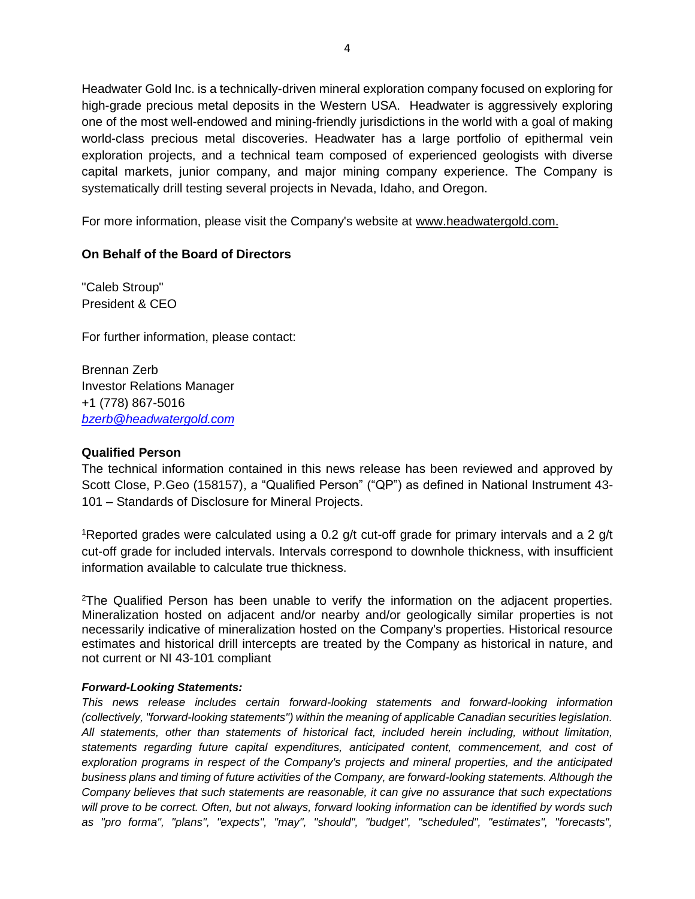Headwater Gold Inc. is a technically-driven mineral exploration company focused on exploring for high-grade precious metal deposits in the Western USA. Headwater is aggressively exploring one of the most well-endowed and mining-friendly jurisdictions in the world with a goal of making world-class precious metal discoveries. Headwater has a large portfolio of epithermal vein exploration projects, and a technical team composed of experienced geologists with diverse capital markets, junior company, and major mining company experience. The Company is systematically drill testing several projects in Nevada, Idaho, and Oregon.

For more information, please visit the Company's website at [www.headwatergold.com.](https://hf.t.hubspotemail.net/e2t/tc/VWxxl61m82-ZW8TWn81209c8kW6D6W6y4sg_7mN5t-nk73p_8SV1-WJV7Cg-x6W3JHppG3_9WnjW8XqWY_57QsyyW4bkM6R3GWqcRW3JSFqG6Y-9tyW4VsDnV3Bqr7wW8qjVZL2jkHZDW3tz7GT84KFSKW2T9-mK6Gs_91W7FmDBn2vPzYwW8r-zl42Zp6qWW7VWWCq9gNC92W4NMRZN4VV9B_MTBxz_Kkk8LW47rQHG1j1g84Vn9txH8DkTjyW6T0Sdp3trMXzW7tDqhh3l8FJCW6w7_nq5bT0blW3_2KBL5_wW0GMnH_vHnKlZxN3KNSBRj7Jz-W53ltqx84nvvT3pSR1)

### **On Behalf of the Board of Directors**

"Caleb Stroup" President & CEO

For further information, please contact:

Brennan Zerb Investor Relations Manager +1 (778) 867-5016 *[bzerb@headwatergold.com](mailto:bzerb@headwatergold.com)*

#### **Qualified Person**

The technical information contained in this news release has been reviewed and approved by Scott Close, P.Geo (158157), a "Qualified Person" ("QP") as defined in National Instrument 43- 101 – Standards of Disclosure for Mineral Projects.

<sup>1</sup>Reported grades were calculated using a 0.2 g/t cut-off grade for primary intervals and a 2 g/t cut-off grade for included intervals. Intervals correspond to downhole thickness, with insufficient information available to calculate true thickness.

<sup>2</sup>The Qualified Person has been unable to verify the information on the adjacent properties. Mineralization hosted on adjacent and/or nearby and/or geologically similar properties is not necessarily indicative of mineralization hosted on the Company's properties. Historical resource estimates and historical drill intercepts are treated by the Company as historical in nature, and not current or NI 43-101 compliant

#### *Forward-Looking Statements:*

*This news release includes certain forward-looking statements and forward-looking information (collectively, "forward-looking statements") within the meaning of applicable Canadian securities legislation. All statements, other than statements of historical fact, included herein including, without limitation, statements regarding future capital expenditures, anticipated content, commencement, and cost of exploration programs in respect of the Company's projects and mineral properties, and the anticipated business plans and timing of future activities of the Company, are forward-looking statements. Although the Company believes that such statements are reasonable, it can give no assurance that such expectations will prove to be correct. Often, but not always, forward looking information can be identified by words such as "pro forma", "plans", "expects", "may", "should", "budget", "scheduled", "estimates", "forecasts",*